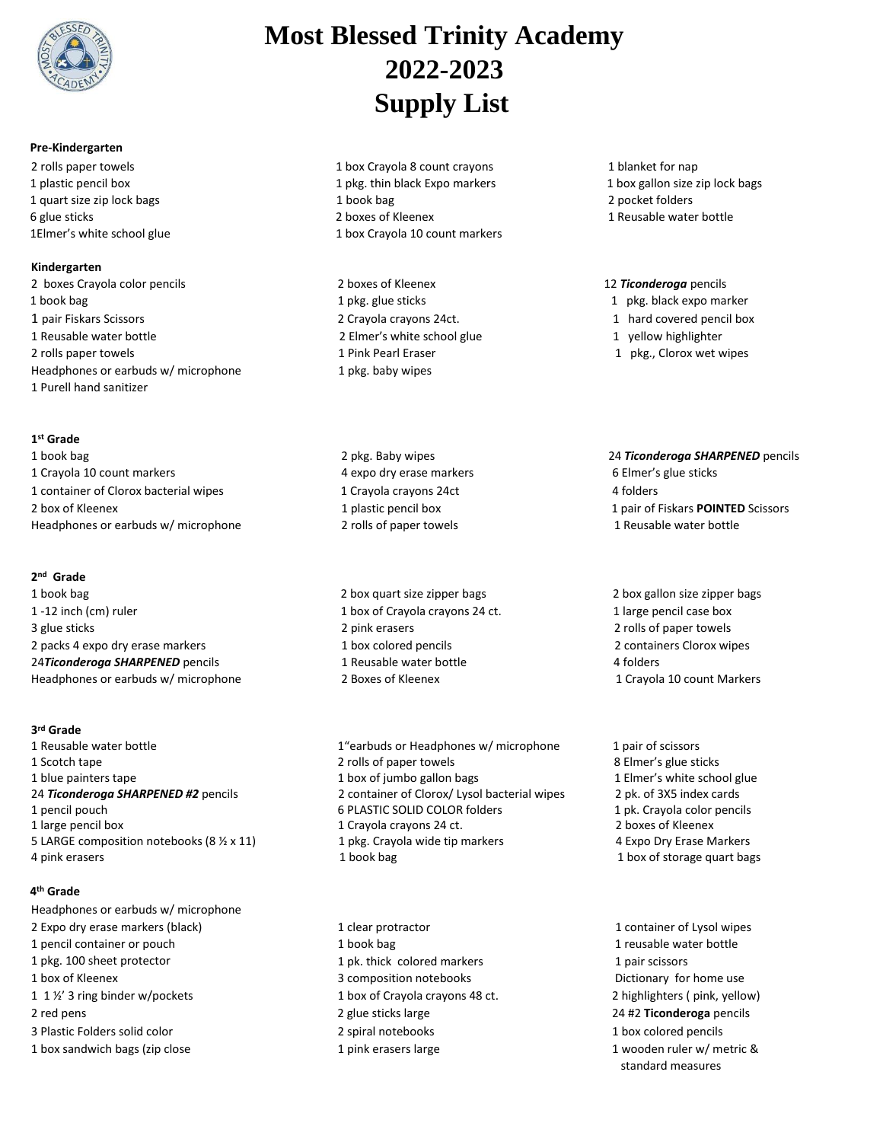

# **Pre-Kindergarten**

# **Kindergarten**

2 boxes Crayola color pencils 2 boxes of Kleenex 12 *Ticonderoga* pencils 1 book bag 1 pkg. glue sticks 1 pkg. black expo marker 1 pair Fiskars Scissors 2 Crayola crayons 24ct. 1 hard covered pencil box 1 Reusable water bottle 2 Elmer's white school glue 1 yellow highlighter 2 rolls paper towels **1 Pink Pearl Eraser** 1 Pink Pearl Eraser 1 pkg., Clorox wet wipes Headphones or earbuds w/ microphone 1 Purell hand sanitizer

# **1 st Grade**

1 book bag 2 pkg. Baby wipes 24 *Ticonderoga SHARPENED* pencils 1 Crayola 10 count markers **Ack Accord 2 Elmer's glue sticks** 4 expo dry erase markers **6 Elmer's glue sticks** 1 container of Clorox bacterial wipes 1 Crayola crayons 24ct 4 folders 2 box of Kleenex Headphones or earbuds w/ microphone

# **2 nd Grade**

1 book bag 1 -12 inch (cm) ruler 3 glue sticks 2 packs 4 expo dry erase markers 24*Ticonderoga SHARPENED* pencils Headphones or earbuds w/ microphone

# **3 rd Grade**

- 
- 

# **4 th Grade**

Headphones or earbuds w/ microphone 2 Expo dry erase markers (black) 1 clear protractor 1 clear protractor 1 container of Lysol wipes 1 pencil container or pouch 1 pkg. 100 sheet protector 1 box of Kleenex **3** composition notebooks Dictionary for home use 1 1 ½' 3 ring binder w/pockets 1 box of Crayola crayons 48 ct. 2 highlighters ( pink, yellow) 2 red pens 2 glue sticks large 24 #2 **Ticonderoga** pencils 3 Plastic Folders solid color 2 spiral notebooks 1 box colored pencils 1 box sandwich bags (zip close 1 pink erasers large 1 wooden ruler w/ metric &

# **Most Blessed Trinity Academy 2022-2023 Supply List**

- 2 rolls paper towels 1 box Crayola 8 count crayons 1 blanket for nap 1 plastic pencil box 1 pkg. thin black Expo markers 1 box gallon size zip lock bags 1 quart size zip lock bags 1 book bag 2 pocket folders 6 glue sticks 2 boxes of Kleenex 1 Reusable water bottle 1Elmer's white school glue 1 box Crayola 10 count markers
	-
	- 1 pkg. baby wipes
	- 2 rolls of paper towels 2 rolls of paper towels

 2 box quart size zipper bags 2 box gallon size zipper bags 1 box of Crayola crayons 24 ct. 1 large pencil case box 2 pink erasers 2 rolls of paper towels 1 box colored pencils 2 containers Clorox wipes 1 Reusable water bottle 1 and 1 and 4 folders 2 Boxes of Kleenex 1 Crayola 10 count Markers

1 Reusable water bottle 1"earbuds or Headphones w/ microphone 1 pair of scissors 1 Scotch tape 2 rolls of paper towels 2 rolls of paper towels 8 Elmer's glue sticks 1 blue painters tape 1 box of jumbo gallon bags 1 Elmer's white school glue 24 *Ticonderoga SHARPENED #2* pencils 2 container of Clorox/ Lysol bacterial wipes 2 pk. of 3X5 index cards 1 pencil pouch 6 PLASTIC SOLID COLOR folders 1 pk. Crayola color pencils 1 large pencil box 1 Crayola crayons 24 ct. 2 boxes of Kleenex 5 LARGE composition notebooks (8 1/2 x 11) 1 pkg. Crayola wide tip markers 4 Expo Dry Erase Markers 4 pink erasers example and the state of the state of the 1 book bag in the 1 box of storage quart bags and the storage quart bags of storage quart bags and the 1 box of storage quart bags of storage quart bags and the stor

> 1 book bag 1 pk. thick colored markers

- 
- 
- 
- 

1 plastic pencil box 1 pair of Fiskars **POINTED** Scissors

 1 reusable water bottle 1 pair scissors standard measures